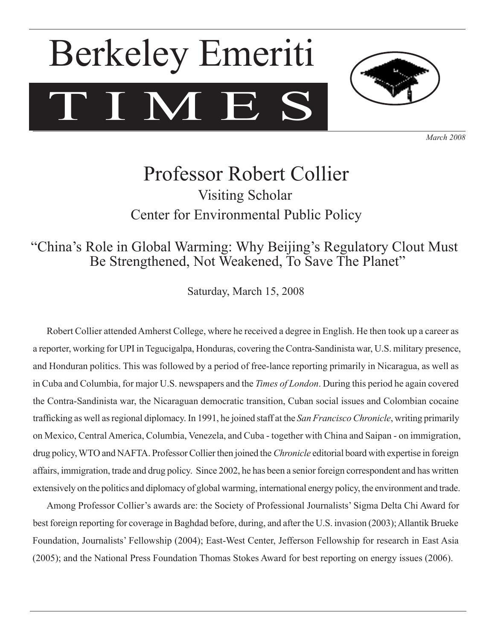# T I M E Berkeley Emeriti



*March 2008*

## Professor Robert Collier Visiting Scholar Center for Environmental Public Policy

### "China's Role in Global Warming: Why Beijing's Regulatory Clout Must Be Strengthened, Not Weakened, To Save The Planet"

Saturday, March 15, 2008

Robert Collier attended Amherst College, where he received a degree in English. He then took up a career as a reporter, working for UPI in Tegucigalpa, Honduras, covering the Contra-Sandinista war, U.S. military presence, and Honduran politics. This was followed by a period of free-lance reporting primarily in Nicaragua, as well as in Cuba and Columbia, for major U.S. newspapers and the *Times of London*. During this period he again covered the Contra-Sandinista war, the Nicaraguan democratic transition, Cuban social issues and Colombian cocaine trafficking as well asregional diplomacy. In 1991, he joined staff at the *San Francisco Chronicle*, writing primarily on Mexico, Central America, Columbia, Venezela, and Cuba - together with China and Saipan - on immigration, drug policy, WTO and NAFTA. Professor Collier then joined the *Chronicle* editorial board with expertise in foreign affairs, immigration, trade and drug policy. Since 2002, he has been a senior foreign correspondent and has written extensively on the politics and diplomacy of global warming, international energy policy, the environment and trade.

Among Professor Collier's awards are: the Society of Professional Journalists' Sigma Delta Chi Award for best foreign reporting for coverage in Baghdad before, during, and after the U.S. invasion (2003);Allantik Brueke Foundation, Journalists' Fellowship (2004); East-West Center, Jefferson Fellowship for research in East Asia (2005); and the National Press Foundation Thomas Stokes Award for best reporting on energy issues (2006).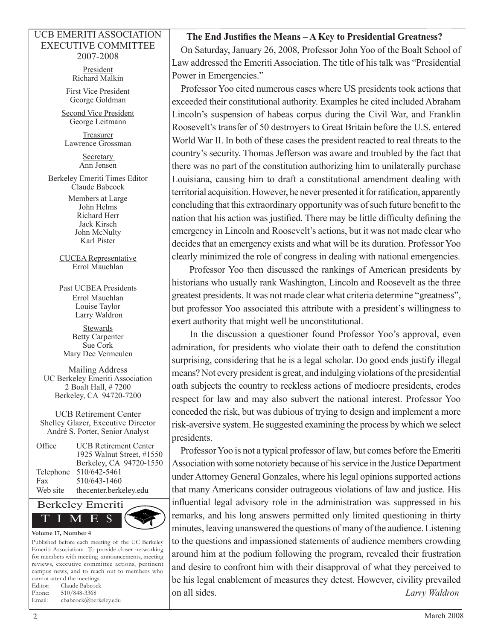#### UCB EMERITI ASSOCIATION EXECUTIVE COMMITTEE 2007-2008

President Richard Malkin

First Vice President George Goldman

Second Vice President George Leitmann

Treasurer Lawrence Grossman

> Secretary Ann Jensen

Berkeley Emeriti Times Editor Claude Babcock

> Members at Large John Helms Richard Herr Jack Kirsch John McNulty Karl Pister

CUCEA Representative Errol Mauchlan

Past UCBEA Presidents Errol Mauchlan Louise Taylor Larry Waldron

Stewards Betty Carpenter Sue Cork Mary Dee Vermeulen

Mailing Address UC Berkeley Emeriti Association 2 Boalt Hall, # 7200 Berkeley, CA 94720-7200

UCB Retirement Center Shelley Glazer, Executive Director André S. Porter, Senior Analyst

Office UCB Retirement Center 1925 Walnut Street, #1550 Berkeley, CA 94720-1550 Telephone 510/642-5461 Fax 510/643-1460 Web site thecenter.berkeley.edu



Published before each meeting of the UC Berkeley Emeriti Association: To provide closer networking for members with meeting announcements, meeting reviews, executive committee actions, pertinent campus news, and to reach out to members who cannot attend the meetings. Editor: Claude Babcock Phone: 510/848-3368 Email: cbabcock@berkeley.edu

#### **The End Justifies the Means – A Key to Presidential Greatness?**

On Saturday, January 26, 2008, Professor John Yoo of the Boalt School of Law addressed the Emeriti Association. The title of his talk was "Presidential Power in Emergencies."

Professor Yoo cited numerous cases where US presidents took actions that exceeded their constitutional authority. Examples he cited included Abraham Lincoln's suspension of habeas corpus during the Civil War, and Franklin Roosevelt's transfer of 50 destroyers to Great Britain before the U.S. entered World War II. In both of these cases the president reacted to real threats to the country's security. Thomas Jefferson was aware and troubled by the fact that there was no part of the constitution authorizing him to unilaterally purchase Louisiana, causing him to draft a constitutional amendment dealing with territorial acquisition. However, he never presented it for ratification, apparently concluding that this extraordinary opportunity was of such future benefit to the nation that his action was justified. There may be little difficulty defining the emergency in Lincoln and Roosevelt's actions, but it was not made clear who decides that an emergency exists and what will be its duration. Professor Yoo clearly minimized the role of congress in dealing with national emergencies.

Professor Yoo then discussed the rankings of American presidents by historians who usually rank Washington, Lincoln and Roosevelt as the three greatest presidents. It was not made clear what criteria determine "greatness", but professor Yoo associated this attribute with a president's willingness to exert authority that might well be unconstitutional.

In the discussion a questioner found Professor Yoo's approval, even admiration, for presidents who violate their oath to defend the constitution surprising, considering that he is a legal scholar. Do good ends justify illegal means? Not every president is great, and indulging violations of the presidential oath subjects the country to reckless actions of mediocre presidents, erodes respect for law and may also subvert the national interest. Professor Yoo conceded the risk, but was dubious of trying to design and implement a more risk-aversive system. He suggested examining the process by which we select presidents.

Professor Yoo is not a typical professor of law, but comes before the Emeriti Association with some notoriety because of his service in the Justice Department under Attorney General Gonzales, where his legal opinions supported actions that many Americans consider outrageous violations of law and justice. His influential legal advisory role in the administration was suppressed in his remarks, and his long answers permitted only limited questioning in thirty minutes, leaving unanswered the questions of many of the audience. Listening to the questions and impassioned statements of audience members crowding around him at the podium following the program, revealed their frustration and desire to confront him with their disapproval of what they perceived to be his legal enablement of measures they detest. However, civility prevailed on all sides. *Larry Waldron*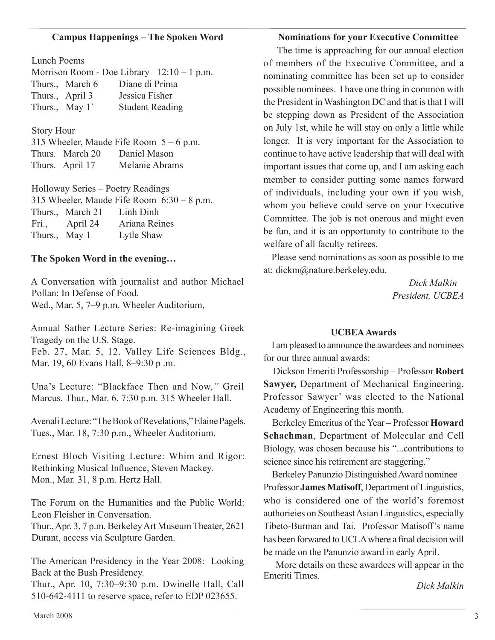#### **Campus Happenings – The Spoken Word**

Lunch Poems

|                 | Morrison Room - Doe Library $12:10 - 1$ p.m. |
|-----------------|----------------------------------------------|
| Thurs., March 6 | Diane di Prima                               |
| Thurs., April 3 | Jessica Fisher                               |
| Thurs., May 1   | <b>Student Reading</b>                       |

#### Story Hour

315 Wheeler, Maude Fife Room  $5 - 6$  p.m. Thurs. March 20 Daniel Mason Thurs. April 17 Melanie Abrams

Holloway Series – Poetry Readings 315 Wheeler, Maude Fife Room 6:30 – 8 p.m. Thurs., March 21 Linh Dinh Fri., April 24 Ariana Reines Thurs., May 1 Lytle Shaw

#### **The Spoken Word in the evening…**

A Conversation with journalist and author Michael Pollan: In Defense of Food. Wed., Mar. 5, 7–9 p.m. Wheeler Auditorium,

Annual Sather Lecture Series: Re-imagining Greek Tragedy on the U.S. Stage.

Feb. 27, Mar. 5, 12. Valley Life Sciences Bldg., Mar. 19, 60 Evans Hall, 8–9:30 p .m.

Una's Lecture: "Blackface Then and Now,*"* Greil Marcus*.* Thur., Mar. 6, 7:30 p.m. 315 Wheeler Hall.

Avenali Lecture: "The Book of Revelations," Elaine Pagels. Tues., Mar. 18, 7:30 p.m., Wheeler Auditorium.

Ernest Bloch Visiting Lecture: Whim and Rigor: Rethinking Musical Influence, Steven Mackey. Mon., Mar. 31, 8 p.m. Hertz Hall.

The Forum on the Humanities and the Public World: Leon Fleisher in Conversation.

Thur.,Apr. 3, 7 p.m. BerkeleyArt MuseumTheater, 2621 Durant, access via Sculpture Garden.

The American Presidency in the Year 2008: Looking Back at the Bush Presidency.

Thur., Apr. 10, 7:30–9:30 p.m. Dwinelle Hall, Call 510-642-4111 to reserve space, refer to EDP 023655.

#### **Nominations for your Executive Committee**

The time is approaching for our annual election of members of the Executive Committee, and a nominating committee has been set up to consider possible nominees. I have one thing in common with the President in Washington DC and that is that I will be stepping down as President of the Association on July 1st, while he will stay on only a little while longer. It is very important for the Association to continue to have active leadership that will deal with important issues that come up, and I am asking each member to consider putting some names forward of individuals, including your own if you wish, whom you believe could serve on your Executive Committee. The job is not onerous and might even be fun, and it is an opportunity to contribute to the welfare of all faculty retirees.

Please send nominations as soon as possible to me at: dickm@nature.berkeley.edu.

> *Dick Malkin President, UCBEA*

#### **UCBEAAwards**

I ampleased to announce the awardees and nominees for our three annual awards:

Dickson Emeriti Professorship – Professor **Robert Sawyer,** Department of Mechanical Engineering. Professor Sawyer' was elected to the National Academy of Engineering this month.

Berkeley Emeritus of theYear – Professor **Howard Schachman**, Department of Molecular and Cell Biology, was chosen because his "...contributions to science since his retirement are staggering."

Berkeley Panunzio Distinguished Award nominee -Professor **James Matisoff**, Department of Linguistics, who is considered one of the world's foremost authorieies on SoutheastAsian Linguistics, especially Tibeto-Burman and Tai. Professor Matisoff's name has been forwared to UCLAwhere a final decision will be made on the Panunzio award in early April.

More details on these awardees will appear in the Emeriti Times.

*Dick Malkin*